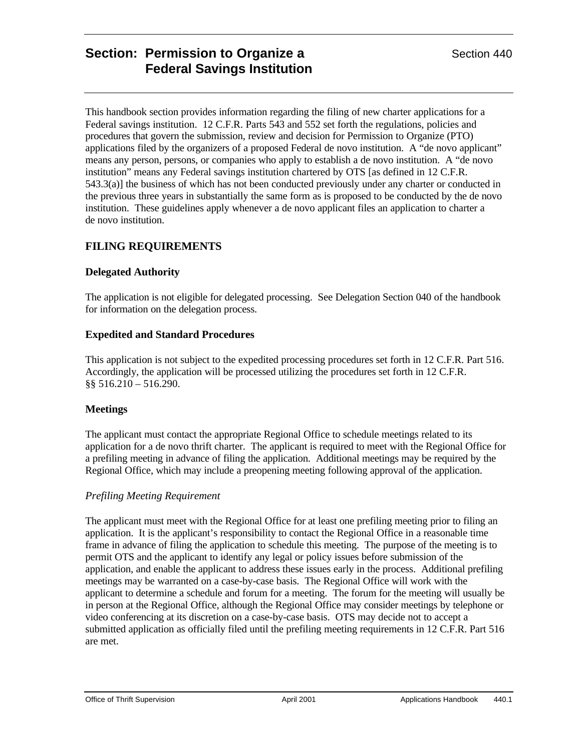# **Section: Permission to Organize a Section 440** Section 440 **Federal Savings Institution**

This handbook section provides information regarding the filing of new charter applications for a Federal savings institution. 12 C.F.R. Parts 543 and 552 set forth the regulations, policies and procedures that govern the submission, review and decision for Permission to Organize (PTO) applications filed by the organizers of a proposed Federal de novo institution. A "de novo applicant" means any person, persons, or companies who apply to establish a de novo institution. A "de novo institution" means any Federal savings institution chartered by OTS [as defined in 12 C.F.R. 543.3(a)] the business of which has not been conducted previously under any charter or conducted in the previous three years in substantially the same form as is proposed to be conducted by the de novo institution. These guidelines apply whenever a de novo applicant files an application to charter a de novo institution.

# **FILING REQUIREMENTS**

# **Delegated Authority**

The application is not eligible for delegated processing. See Delegation Section 040 of the handbook for information on the delegation process.

## **Expedited and Standard Procedures**

This application is not subject to the expedited processing procedures set forth in 12 C.F.R. Part 516. Accordingly, the application will be processed utilizing the procedures set forth in 12 C.F.R. §§ 516.210 – 516.290.

# **Meetings**

The applicant must contact the appropriate Regional Office to schedule meetings related to its application for a de novo thrift charter. The applicant is required to meet with the Regional Office for a prefiling meeting in advance of filing the application. Additional meetings may be required by the Regional Office, which may include a preopening meeting following approval of the application.

# *Prefiling Meeting Requirement*

The applicant must meet with the Regional Office for at least one prefiling meeting prior to filing an application. It is the applicant's responsibility to contact the Regional Office in a reasonable time frame in advance of filing the application to schedule this meeting. The purpose of the meeting is to permit OTS and the applicant to identify any legal or policy issues before submission of the application, and enable the applicant to address these issues early in the process. Additional prefiling meetings may be warranted on a case-by-case basis. The Regional Office will work with the applicant to determine a schedule and forum for a meeting. The forum for the meeting will usually be in person at the Regional Office, although the Regional Office may consider meetings by telephone or video conferencing at its discretion on a case-by-case basis. OTS may decide not to accept a submitted application as officially filed until the prefiling meeting requirements in 12 C.F.R. Part 516 are met.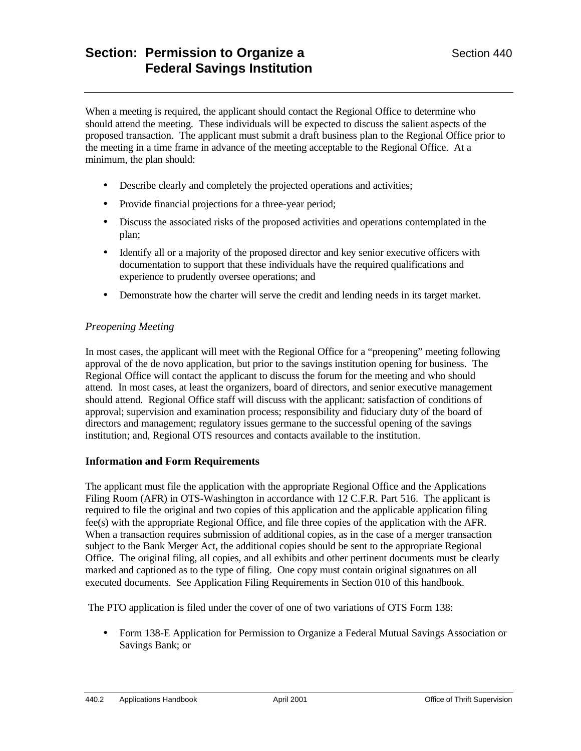When a meeting is required, the applicant should contact the Regional Office to determine who should attend the meeting. These individuals will be expected to discuss the salient aspects of the proposed transaction. The applicant must submit a draft business plan to the Regional Office prior to the meeting in a time frame in advance of the meeting acceptable to the Regional Office. At a minimum, the plan should:

- Describe clearly and completely the projected operations and activities;
- Provide financial projections for a three-year period;
- Discuss the associated risks of the proposed activities and operations contemplated in the plan;
- Identify all or a majority of the proposed director and key senior executive officers with documentation to support that these individuals have the required qualifications and experience to prudently oversee operations; and
- Demonstrate how the charter will serve the credit and lending needs in its target market.

# *Preopening Meeting*

In most cases, the applicant will meet with the Regional Office for a "preopening" meeting following approval of the de novo application, but prior to the savings institution opening for business. The Regional Office will contact the applicant to discuss the forum for the meeting and who should attend. In most cases, at least the organizers, board of directors, and senior executive management should attend. Regional Office staff will discuss with the applicant: satisfaction of conditions of approval; supervision and examination process; responsibility and fiduciary duty of the board of directors and management; regulatory issues germane to the successful opening of the savings institution; and, Regional OTS resources and contacts available to the institution.

#### **Information and Form Requirements**

The applicant must file the application with the appropriate Regional Office and the Applications Filing Room (AFR) in OTS-Washington in accordance with 12 C.F.R. Part 516. The applicant is required to file the original and two copies of this application and the applicable application filing fee(s) with the appropriate Regional Office, and file three copies of the application with the AFR. When a transaction requires submission of additional copies, as in the case of a merger transaction subject to the Bank Merger Act, the additional copies should be sent to the appropriate Regional Office. The original filing, all copies, and all exhibits and other pertinent documents must be clearly marked and captioned as to the type of filing. One copy must contain original signatures on all executed documents. See Application Filing Requirements in Section 010 of this handbook.

The PTO application is filed under the cover of one of two variations of OTS Form 138:

• Form 138-E Application for Permission to Organize a Federal Mutual Savings Association or Savings Bank; or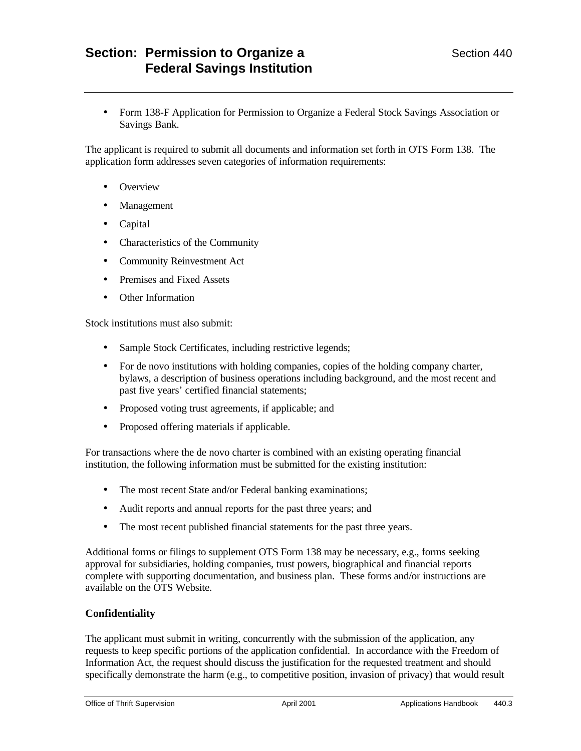• Form 138-F Application for Permission to Organize a Federal Stock Savings Association or Savings Bank.

The applicant is required to submit all documents and information set forth in OTS Form 138. The application form addresses seven categories of information requirements:

- Overview
- Management
- Capital
- Characteristics of the Community
- Community Reinvestment Act
- Premises and Fixed Assets
- Other Information

Stock institutions must also submit:

- Sample Stock Certificates, including restrictive legends;
- For de novo institutions with holding companies, copies of the holding company charter, bylaws, a description of business operations including background, and the most recent and past five years' certified financial statements;
- Proposed voting trust agreements, if applicable; and
- Proposed offering materials if applicable.

For transactions where the de novo charter is combined with an existing operating financial institution, the following information must be submitted for the existing institution:

- The most recent State and/or Federal banking examinations;
- Audit reports and annual reports for the past three years; and
- The most recent published financial statements for the past three years.

Additional forms or filings to supplement OTS Form 138 may be necessary, e.g., forms seeking approval for subsidiaries, holding companies, trust powers, biographical and financial reports complete with supporting documentation, and business plan. These forms and/or instructions are available on the OTS Website.

#### **Confidentiality**

The applicant must submit in writing, concurrently with the submission of the application, any requests to keep specific portions of the application confidential. In accordance with the Freedom of Information Act, the request should discuss the justification for the requested treatment and should specifically demonstrate the harm (e.g., to competitive position, invasion of privacy) that would result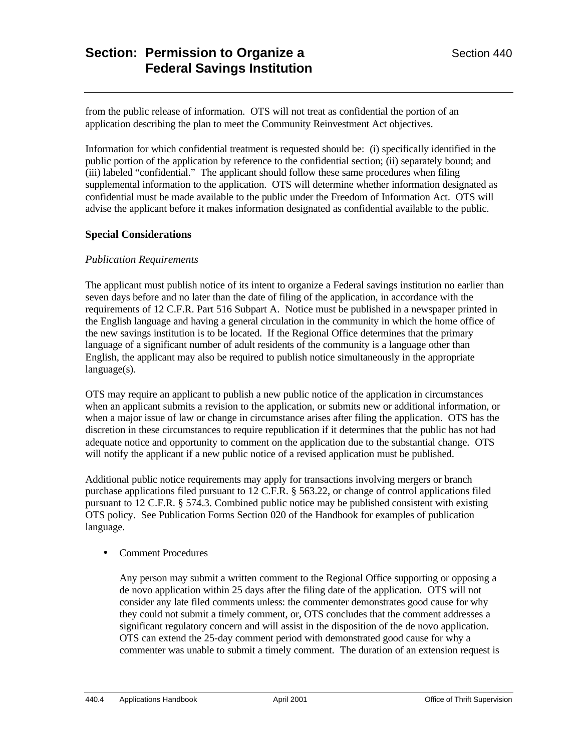from the public release of information. OTS will not treat as confidential the portion of an application describing the plan to meet the Community Reinvestment Act objectives.

Information for which confidential treatment is requested should be: (i) specifically identified in the public portion of the application by reference to the confidential section; (ii) separately bound; and (iii) labeled "confidential." The applicant should follow these same procedures when filing supplemental information to the application. OTS will determine whether information designated as confidential must be made available to the public under the Freedom of Information Act. OTS will advise the applicant before it makes information designated as confidential available to the public.

# **Special Considerations**

## *Publication Requirements*

The applicant must publish notice of its intent to organize a Federal savings institution no earlier than seven days before and no later than the date of filing of the application, in accordance with the requirements of 12 C.F.R. Part 516 Subpart A. Notice must be published in a newspaper printed in the English language and having a general circulation in the community in which the home office of the new savings institution is to be located. If the Regional Office determines that the primary language of a significant number of adult residents of the community is a language other than English, the applicant may also be required to publish notice simultaneously in the appropriate language(s).

OTS may require an applicant to publish a new public notice of the application in circumstances when an applicant submits a revision to the application, or submits new or additional information, or when a major issue of law or change in circumstance arises after filing the application. OTS has the discretion in these circumstances to require republication if it determines that the public has not had adequate notice and opportunity to comment on the application due to the substantial change. OTS will notify the applicant if a new public notice of a revised application must be published.

Additional public notice requirements may apply for transactions involving mergers or branch purchase applications filed pursuant to 12 C.F.R. § 563.22, or change of control applications filed pursuant to 12 C.F.R. § 574.3. Combined public notice may be published consistent with existing OTS policy. See Publication Forms Section 020 of the Handbook for examples of publication language.

#### • Comment Procedures

Any person may submit a written comment to the Regional Office supporting or opposing a de novo application within 25 days after the filing date of the application. OTS will not consider any late filed comments unless: the commenter demonstrates good cause for why they could not submit a timely comment, or, OTS concludes that the comment addresses a significant regulatory concern and will assist in the disposition of the de novo application. OTS can extend the 25-day comment period with demonstrated good cause for why a commenter was unable to submit a timely comment. The duration of an extension request is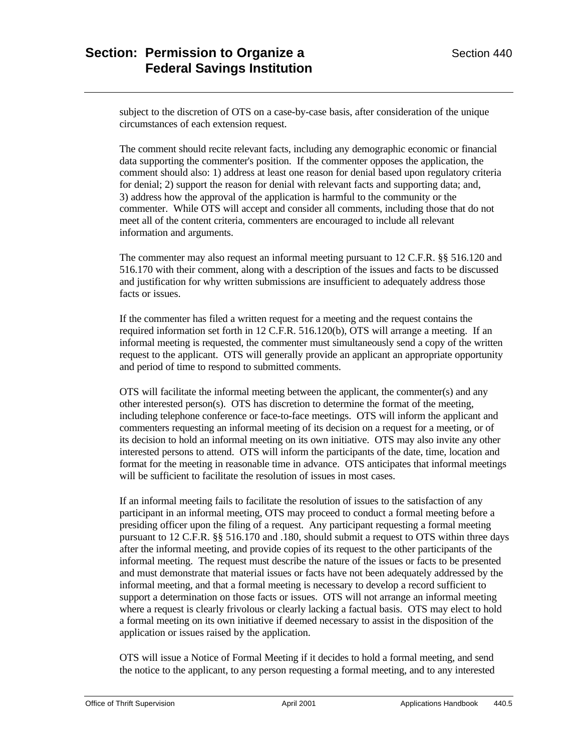subject to the discretion of OTS on a case-by-case basis, after consideration of the unique circumstances of each extension request.

The comment should recite relevant facts, including any demographic economic or financial data supporting the commenter's position. If the commenter opposes the application, the comment should also: 1) address at least one reason for denial based upon regulatory criteria for denial; 2) support the reason for denial with relevant facts and supporting data; and, 3) address how the approval of the application is harmful to the community or the commenter. While OTS will accept and consider all comments, including those that do not meet all of the content criteria, commenters are encouraged to include all relevant information and arguments.

The commenter may also request an informal meeting pursuant to 12 C.F.R. §§ 516.120 and 516.170 with their comment, along with a description of the issues and facts to be discussed and justification for why written submissions are insufficient to adequately address those facts or issues.

If the commenter has filed a written request for a meeting and the request contains the required information set forth in 12 C.F.R. 516.120(b), OTS will arrange a meeting. If an informal meeting is requested, the commenter must simultaneously send a copy of the written request to the applicant. OTS will generally provide an applicant an appropriate opportunity and period of time to respond to submitted comments.

OTS will facilitate the informal meeting between the applicant, the commenter(s) and any other interested person(s). OTS has discretion to determine the format of the meeting, including telephone conference or face-to-face meetings. OTS will inform the applicant and commenters requesting an informal meeting of its decision on a request for a meeting, or of its decision to hold an informal meeting on its own initiative. OTS may also invite any other interested persons to attend. OTS will inform the participants of the date, time, location and format for the meeting in reasonable time in advance. OTS anticipates that informal meetings will be sufficient to facilitate the resolution of issues in most cases.

If an informal meeting fails to facilitate the resolution of issues to the satisfaction of any participant in an informal meeting, OTS may proceed to conduct a formal meeting before a presiding officer upon the filing of a request. Any participant requesting a formal meeting pursuant to 12 C.F.R. §§ 516.170 and .180, should submit a request to OTS within three days after the informal meeting, and provide copies of its request to the other participants of the informal meeting. The request must describe the nature of the issues or facts to be presented and must demonstrate that material issues or facts have not been adequately addressed by the informal meeting, and that a formal meeting is necessary to develop a record sufficient to support a determination on those facts or issues. OTS will not arrange an informal meeting where a request is clearly frivolous or clearly lacking a factual basis. OTS may elect to hold a formal meeting on its own initiative if deemed necessary to assist in the disposition of the application or issues raised by the application.

OTS will issue a Notice of Formal Meeting if it decides to hold a formal meeting, and send the notice to the applicant, to any person requesting a formal meeting, and to any interested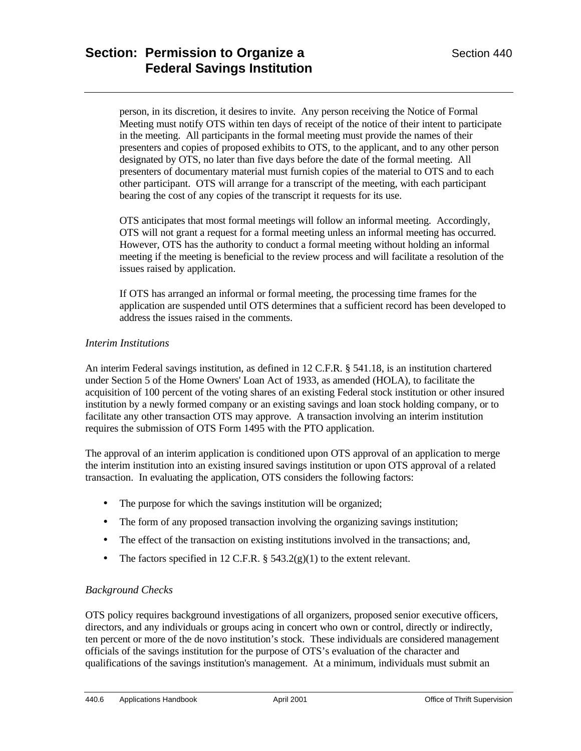person, in its discretion, it desires to invite. Any person receiving the Notice of Formal Meeting must notify OTS within ten days of receipt of the notice of their intent to participate in the meeting. All participants in the formal meeting must provide the names of their presenters and copies of proposed exhibits to OTS, to the applicant, and to any other person designated by OTS, no later than five days before the date of the formal meeting. All presenters of documentary material must furnish copies of the material to OTS and to each other participant. OTS will arrange for a transcript of the meeting, with each participant bearing the cost of any copies of the transcript it requests for its use.

OTS anticipates that most formal meetings will follow an informal meeting. Accordingly, OTS will not grant a request for a formal meeting unless an informal meeting has occurred. However, OTS has the authority to conduct a formal meeting without holding an informal meeting if the meeting is beneficial to the review process and will facilitate a resolution of the issues raised by application.

If OTS has arranged an informal or formal meeting, the processing time frames for the application are suspended until OTS determines that a sufficient record has been developed to address the issues raised in the comments.

# *Interim Institutions*

An interim Federal savings institution, as defined in 12 C.F.R. § 541.18, is an institution chartered under Section 5 of the Home Owners' Loan Act of 1933, as amended (HOLA), to facilitate the acquisition of 100 percent of the voting shares of an existing Federal stock institution or other insured institution by a newly formed company or an existing savings and loan stock holding company, or to facilitate any other transaction OTS may approve. A transaction involving an interim institution requires the submission of OTS Form 1495 with the PTO application.

The approval of an interim application is conditioned upon OTS approval of an application to merge the interim institution into an existing insured savings institution or upon OTS approval of a related transaction. In evaluating the application, OTS considers the following factors:

- The purpose for which the savings institution will be organized;
- The form of any proposed transaction involving the organizing savings institution;
- The effect of the transaction on existing institutions involved in the transactions; and,
- The factors specified in 12 C.F.R.  $\S$  543.2(g)(1) to the extent relevant.

# *Background Checks*

OTS policy requires background investigations of all organizers, proposed senior executive officers, directors, and any individuals or groups acing in concert who own or control, directly or indirectly, ten percent or more of the de novo institution's stock. These individuals are considered management officials of the savings institution for the purpose of OTS's evaluation of the character and qualifications of the savings institution's management. At a minimum, individuals must submit an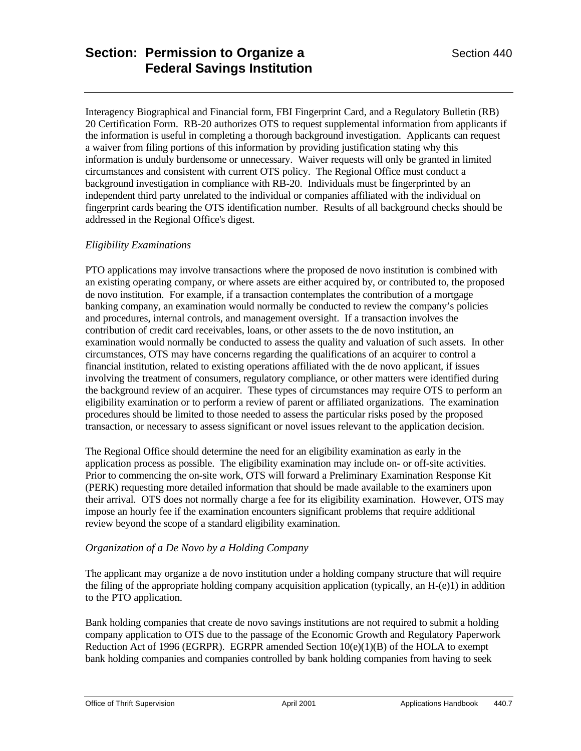Interagency Biographical and Financial form, FBI Fingerprint Card, and a Regulatory Bulletin (RB) 20 Certification Form. RB-20 authorizes OTS to request supplemental information from applicants if the information is useful in completing a thorough background investigation. Applicants can request a waiver from filing portions of this information by providing justification stating why this information is unduly burdensome or unnecessary. Waiver requests will only be granted in limited circumstances and consistent with current OTS policy. The Regional Office must conduct a background investigation in compliance with RB-20. Individuals must be fingerprinted by an independent third party unrelated to the individual or companies affiliated with the individual on fingerprint cards bearing the OTS identification number. Results of all background checks should be addressed in the Regional Office's digest.

# *Eligibility Examinations*

PTO applications may involve transactions where the proposed de novo institution is combined with an existing operating company, or where assets are either acquired by, or contributed to, the proposed de novo institution. For example, if a transaction contemplates the contribution of a mortgage banking company, an examination would normally be conducted to review the company's policies and procedures, internal controls, and management oversight. If a transaction involves the contribution of credit card receivables, loans, or other assets to the de novo institution, an examination would normally be conducted to assess the quality and valuation of such assets. In other circumstances, OTS may have concerns regarding the qualifications of an acquirer to control a financial institution, related to existing operations affiliated with the de novo applicant, if issues involving the treatment of consumers, regulatory compliance, or other matters were identified during the background review of an acquirer. These types of circumstances may require OTS to perform an eligibility examination or to perform a review of parent or affiliated organizations. The examination procedures should be limited to those needed to assess the particular risks posed by the proposed transaction, or necessary to assess significant or novel issues relevant to the application decision.

The Regional Office should determine the need for an eligibility examination as early in the application process as possible. The eligibility examination may include on- or off-site activities. Prior to commencing the on-site work, OTS will forward a Preliminary Examination Response Kit (PERK) requesting more detailed information that should be made available to the examiners upon their arrival. OTS does not normally charge a fee for its eligibility examination. However, OTS may impose an hourly fee if the examination encounters significant problems that require additional review beyond the scope of a standard eligibility examination.

# *Organization of a De Novo by a Holding Company*

The applicant may organize a de novo institution under a holding company structure that will require the filing of the appropriate holding company acquisition application (typically, an H-(e)1) in addition to the PTO application.

Bank holding companies that create de novo savings institutions are not required to submit a holding company application to OTS due to the passage of the Economic Growth and Regulatory Paperwork Reduction Act of 1996 (EGRPR). EGRPR amended Section 10(e)(1)(B) of the HOLA to exempt bank holding companies and companies controlled by bank holding companies from having to seek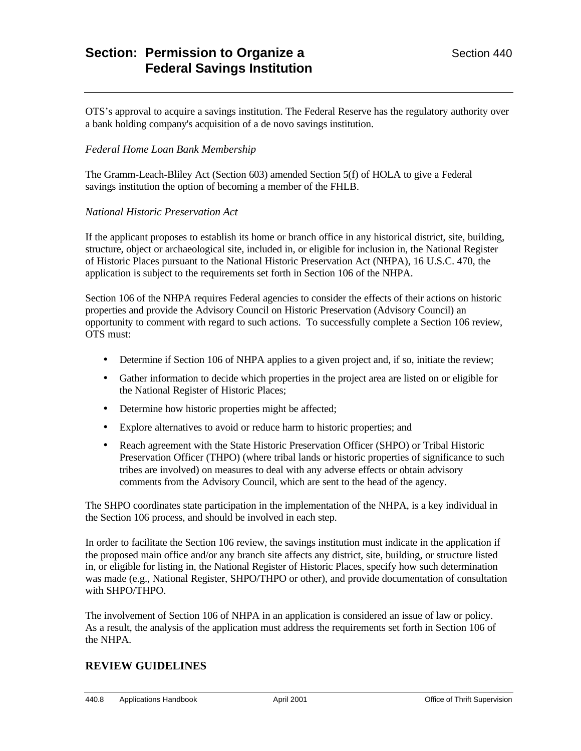# **Section: Permission to Organize a Section 440** Section 440 **Federal Savings Institution**

OTS's approval to acquire a savings institution. The Federal Reserve has the regulatory authority over a bank holding company's acquisition of a de novo savings institution.

## *Federal Home Loan Bank Membership*

The Gramm-Leach-Bliley Act (Section 603) amended Section 5(f) of HOLA to give a Federal savings institution the option of becoming a member of the FHLB.

#### *National Historic Preservation Act*

If the applicant proposes to establish its home or branch office in any historical district, site, building, structure, object or archaeological site, included in, or eligible for inclusion in, the National Register of Historic Places pursuant to the National Historic Preservation Act (NHPA), 16 U.S.C. 470, the application is subject to the requirements set forth in Section 106 of the NHPA.

Section 106 of the NHPA requires Federal agencies to consider the effects of their actions on historic properties and provide the Advisory Council on Historic Preservation (Advisory Council) an opportunity to comment with regard to such actions. To successfully complete a Section 106 review, OTS must:

- Determine if Section 106 of NHPA applies to a given project and, if so, initiate the review;
- Gather information to decide which properties in the project area are listed on or eligible for the National Register of Historic Places;
- Determine how historic properties might be affected;
- Explore alternatives to avoid or reduce harm to historic properties; and
- Reach agreement with the State Historic Preservation Officer (SHPO) or Tribal Historic Preservation Officer (THPO) (where tribal lands or historic properties of significance to such tribes are involved) on measures to deal with any adverse effects or obtain advisory comments from the Advisory Council, which are sent to the head of the agency.

The SHPO coordinates state participation in the implementation of the NHPA, is a key individual in the Section 106 process, and should be involved in each step.

In order to facilitate the Section 106 review, the savings institution must indicate in the application if the proposed main office and/or any branch site affects any district, site, building, or structure listed in, or eligible for listing in, the National Register of Historic Places, specify how such determination was made (e.g., National Register, SHPO/THPO or other), and provide documentation of consultation with SHPO/THPO.

The involvement of Section 106 of NHPA in an application is considered an issue of law or policy. As a result, the analysis of the application must address the requirements set forth in Section 106 of the NHPA.

# **REVIEW GUIDELINES**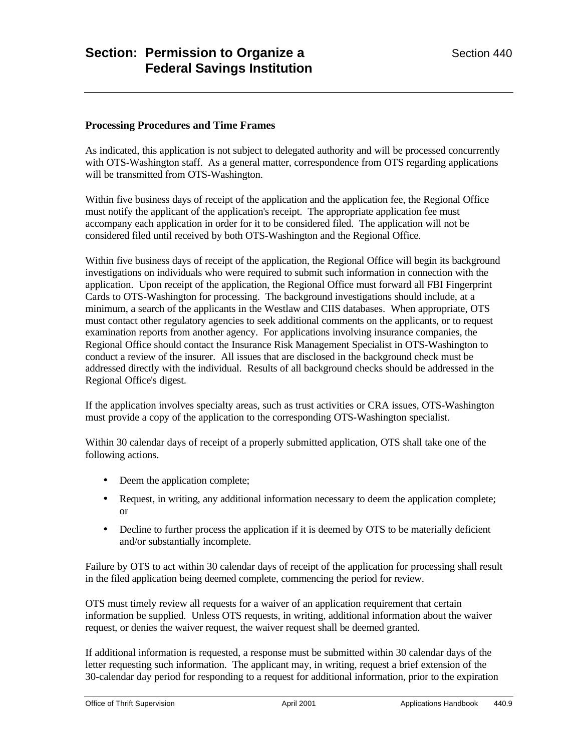#### **Processing Procedures and Time Frames**

As indicated, this application is not subject to delegated authority and will be processed concurrently with OTS-Washington staff. As a general matter, correspondence from OTS regarding applications will be transmitted from OTS-Washington.

Within five business days of receipt of the application and the application fee, the Regional Office must notify the applicant of the application's receipt. The appropriate application fee must accompany each application in order for it to be considered filed. The application will not be considered filed until received by both OTS-Washington and the Regional Office.

Within five business days of receipt of the application, the Regional Office will begin its background investigations on individuals who were required to submit such information in connection with the application. Upon receipt of the application, the Regional Office must forward all FBI Fingerprint Cards to OTS-Washington for processing. The background investigations should include, at a minimum, a search of the applicants in the Westlaw and CIIS databases. When appropriate, OTS must contact other regulatory agencies to seek additional comments on the applicants, or to request examination reports from another agency. For applications involving insurance companies, the Regional Office should contact the Insurance Risk Management Specialist in OTS-Washington to conduct a review of the insurer. All issues that are disclosed in the background check must be addressed directly with the individual. Results of all background checks should be addressed in the Regional Office's digest.

If the application involves specialty areas, such as trust activities or CRA issues, OTS-Washington must provide a copy of the application to the corresponding OTS-Washington specialist.

Within 30 calendar days of receipt of a properly submitted application, OTS shall take one of the following actions.

- Deem the application complete;
- Request, in writing, any additional information necessary to deem the application complete; or
- Decline to further process the application if it is deemed by OTS to be materially deficient and/or substantially incomplete.

Failure by OTS to act within 30 calendar days of receipt of the application for processing shall result in the filed application being deemed complete, commencing the period for review.

OTS must timely review all requests for a waiver of an application requirement that certain information be supplied. Unless OTS requests, in writing, additional information about the waiver request, or denies the waiver request, the waiver request shall be deemed granted.

If additional information is requested, a response must be submitted within 30 calendar days of the letter requesting such information. The applicant may, in writing, request a brief extension of the 30-calendar day period for responding to a request for additional information, prior to the expiration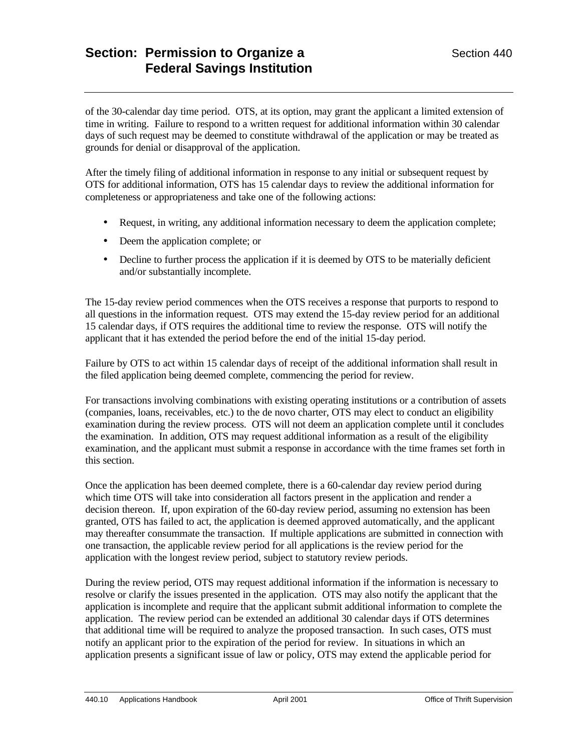of the 30-calendar day time period. OTS, at its option, may grant the applicant a limited extension of time in writing. Failure to respond to a written request for additional information within 30 calendar days of such request may be deemed to constitute withdrawal of the application or may be treated as grounds for denial or disapproval of the application.

After the timely filing of additional information in response to any initial or subsequent request by OTS for additional information, OTS has 15 calendar days to review the additional information for completeness or appropriateness and take one of the following actions:

- Request, in writing, any additional information necessary to deem the application complete;
- Deem the application complete; or
- Decline to further process the application if it is deemed by OTS to be materially deficient and/or substantially incomplete.

The 15-day review period commences when the OTS receives a response that purports to respond to all questions in the information request. OTS may extend the 15-day review period for an additional 15 calendar days, if OTS requires the additional time to review the response. OTS will notify the applicant that it has extended the period before the end of the initial 15-day period.

Failure by OTS to act within 15 calendar days of receipt of the additional information shall result in the filed application being deemed complete, commencing the period for review.

For transactions involving combinations with existing operating institutions or a contribution of assets (companies, loans, receivables, etc.) to the de novo charter, OTS may elect to conduct an eligibility examination during the review process. OTS will not deem an application complete until it concludes the examination. In addition, OTS may request additional information as a result of the eligibility examination, and the applicant must submit a response in accordance with the time frames set forth in this section.

Once the application has been deemed complete, there is a 60-calendar day review period during which time OTS will take into consideration all factors present in the application and render a decision thereon. If, upon expiration of the 60-day review period, assuming no extension has been granted, OTS has failed to act, the application is deemed approved automatically, and the applicant may thereafter consummate the transaction. If multiple applications are submitted in connection with one transaction, the applicable review period for all applications is the review period for the application with the longest review period, subject to statutory review periods.

During the review period, OTS may request additional information if the information is necessary to resolve or clarify the issues presented in the application. OTS may also notify the applicant that the application is incomplete and require that the applicant submit additional information to complete the application. The review period can be extended an additional 30 calendar days if OTS determines that additional time will be required to analyze the proposed transaction. In such cases, OTS must notify an applicant prior to the expiration of the period for review. In situations in which an application presents a significant issue of law or policy, OTS may extend the applicable period for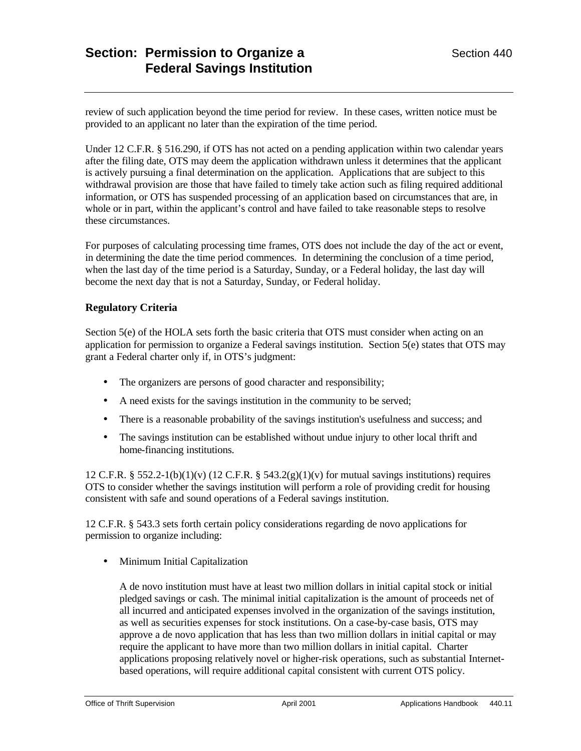review of such application beyond the time period for review. In these cases, written notice must be provided to an applicant no later than the expiration of the time period.

Under 12 C.F.R. § 516.290, if OTS has not acted on a pending application within two calendar years after the filing date, OTS may deem the application withdrawn unless it determines that the applicant is actively pursuing a final determination on the application. Applications that are subject to this withdrawal provision are those that have failed to timely take action such as filing required additional information, or OTS has suspended processing of an application based on circumstances that are, in whole or in part, within the applicant's control and have failed to take reasonable steps to resolve these circumstances.

For purposes of calculating processing time frames, OTS does not include the day of the act or event, in determining the date the time period commences. In determining the conclusion of a time period, when the last day of the time period is a Saturday, Sunday, or a Federal holiday, the last day will become the next day that is not a Saturday, Sunday, or Federal holiday.

## **Regulatory Criteria**

Section 5(e) of the HOLA sets forth the basic criteria that OTS must consider when acting on an application for permission to organize a Federal savings institution. Section 5(e) states that OTS may grant a Federal charter only if, in OTS's judgment:

- The organizers are persons of good character and responsibility;
- A need exists for the savings institution in the community to be served;
- There is a reasonable probability of the savings institution's usefulness and success; and
- The savings institution can be established without undue injury to other local thrift and home-financing institutions.

12 C.F.R. § 552.2-1(b)(1)(v) (12 C.F.R. § 543.2(g)(1)(v) for mutual savings institutions) requires OTS to consider whether the savings institution will perform a role of providing credit for housing consistent with safe and sound operations of a Federal savings institution.

12 C.F.R. § 543.3 sets forth certain policy considerations regarding de novo applications for permission to organize including:

• Minimum Initial Capitalization

A de novo institution must have at least two million dollars in initial capital stock or initial pledged savings or cash. The minimal initial capitalization is the amount of proceeds net of all incurred and anticipated expenses involved in the organization of the savings institution, as well as securities expenses for stock institutions. On a case-by-case basis, OTS may approve a de novo application that has less than two million dollars in initial capital or may require the applicant to have more than two million dollars in initial capital. Charter applications proposing relatively novel or higher-risk operations, such as substantial Internetbased operations, will require additional capital consistent with current OTS policy.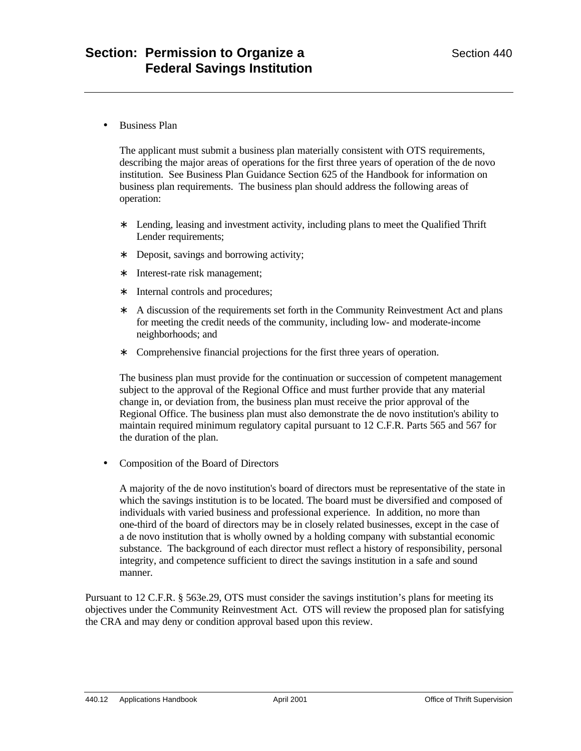• Business Plan

The applicant must submit a business plan materially consistent with OTS requirements, describing the major areas of operations for the first three years of operation of the de novo institution. See Business Plan Guidance Section 625 of the Handbook for information on business plan requirements. The business plan should address the following areas of operation:

- ∗ Lending, leasing and investment activity, including plans to meet the Qualified Thrift Lender requirements;
- ∗ Deposit, savings and borrowing activity;
- ∗ Interest-rate risk management;
- ∗ Internal controls and procedures;
- ∗ A discussion of the requirements set forth in the Community Reinvestment Act and plans for meeting the credit needs of the community, including low- and moderate-income neighborhoods; and
- ∗ Comprehensive financial projections for the first three years of operation.

The business plan must provide for the continuation or succession of competent management subject to the approval of the Regional Office and must further provide that any material change in, or deviation from, the business plan must receive the prior approval of the Regional Office. The business plan must also demonstrate the de novo institution's ability to maintain required minimum regulatory capital pursuant to 12 C.F.R. Parts 565 and 567 for the duration of the plan.

• Composition of the Board of Directors

A majority of the de novo institution's board of directors must be representative of the state in which the savings institution is to be located. The board must be diversified and composed of individuals with varied business and professional experience. In addition, no more than one-third of the board of directors may be in closely related businesses, except in the case of a de novo institution that is wholly owned by a holding company with substantial economic substance. The background of each director must reflect a history of responsibility, personal integrity, and competence sufficient to direct the savings institution in a safe and sound manner.

Pursuant to 12 C.F.R. § 563e.29, OTS must consider the savings institution's plans for meeting its objectives under the Community Reinvestment Act. OTS will review the proposed plan for satisfying the CRA and may deny or condition approval based upon this review.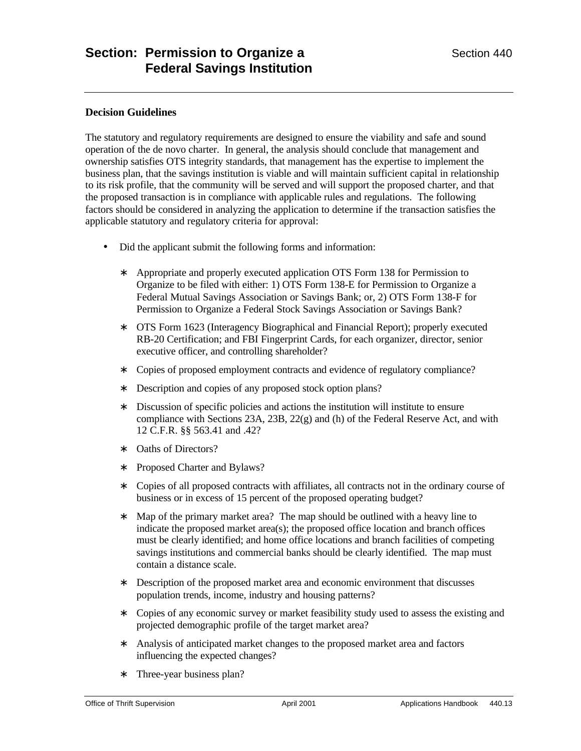## **Decision Guidelines**

The statutory and regulatory requirements are designed to ensure the viability and safe and sound operation of the de novo charter. In general, the analysis should conclude that management and ownership satisfies OTS integrity standards, that management has the expertise to implement the business plan, that the savings institution is viable and will maintain sufficient capital in relationship to its risk profile, that the community will be served and will support the proposed charter, and that the proposed transaction is in compliance with applicable rules and regulations. The following factors should be considered in analyzing the application to determine if the transaction satisfies the applicable statutory and regulatory criteria for approval:

- Did the applicant submit the following forms and information:
	- ∗ Appropriate and properly executed application OTS Form 138 for Permission to Organize to be filed with either: 1) OTS Form 138-E for Permission to Organize a Federal Mutual Savings Association or Savings Bank; or, 2) OTS Form 138-F for Permission to Organize a Federal Stock Savings Association or Savings Bank?
	- ∗ OTS Form 1623 (Interagency Biographical and Financial Report); properly executed RB-20 Certification; and FBI Fingerprint Cards, for each organizer, director, senior executive officer, and controlling shareholder?
	- ∗ Copies of proposed employment contracts and evidence of regulatory compliance?
	- ∗ Description and copies of any proposed stock option plans?
	- ∗ Discussion of specific policies and actions the institution will institute to ensure compliance with Sections 23A, 23B, 22(g) and (h) of the Federal Reserve Act, and with 12 C.F.R. §§ 563.41 and .42?
	- ∗ Oaths of Directors?
	- ∗ Proposed Charter and Bylaws?
	- ∗ Copies of all proposed contracts with affiliates, all contracts not in the ordinary course of business or in excess of 15 percent of the proposed operating budget?
	- ∗ Map of the primary market area? The map should be outlined with a heavy line to indicate the proposed market area(s); the proposed office location and branch offices must be clearly identified; and home office locations and branch facilities of competing savings institutions and commercial banks should be clearly identified. The map must contain a distance scale.
	- ∗ Description of the proposed market area and economic environment that discusses population trends, income, industry and housing patterns?
	- ∗ Copies of any economic survey or market feasibility study used to assess the existing and projected demographic profile of the target market area?
	- ∗ Analysis of anticipated market changes to the proposed market area and factors influencing the expected changes?
	- ∗ Three-year business plan?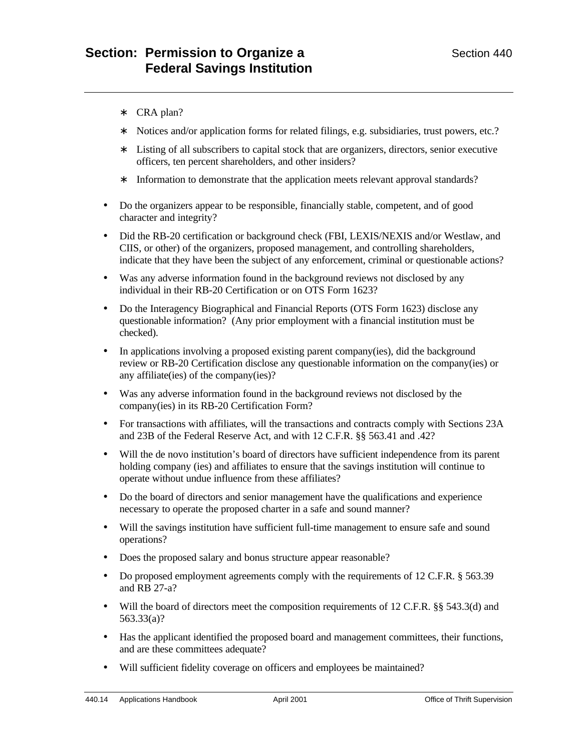- ∗ CRA plan?
- ∗ Notices and/or application forms for related filings, e.g. subsidiaries, trust powers, etc.?
- ∗ Listing of all subscribers to capital stock that are organizers, directors, senior executive officers, ten percent shareholders, and other insiders?
- ∗ Information to demonstrate that the application meets relevant approval standards?
- Do the organizers appear to be responsible, financially stable, competent, and of good character and integrity?
- Did the RB-20 certification or background check (FBI, LEXIS/NEXIS and/or Westlaw, and CIIS, or other) of the organizers, proposed management, and controlling shareholders, indicate that they have been the subject of any enforcement, criminal or questionable actions?
- Was any adverse information found in the background reviews not disclosed by any individual in their RB-20 Certification or on OTS Form 1623?
- Do the Interagency Biographical and Financial Reports (OTS Form 1623) disclose any questionable information? (Any prior employment with a financial institution must be checked).
- In applications involving a proposed existing parent company(ies), did the background review or RB-20 Certification disclose any questionable information on the company(ies) or any affiliate(ies) of the company(ies)?
- Was any adverse information found in the background reviews not disclosed by the company(ies) in its RB-20 Certification Form?
- For transactions with affiliates, will the transactions and contracts comply with Sections 23A and 23B of the Federal Reserve Act, and with 12 C.F.R. §§ 563.41 and .42?
- Will the de novo institution's board of directors have sufficient independence from its parent holding company (ies) and affiliates to ensure that the savings institution will continue to operate without undue influence from these affiliates?
- Do the board of directors and senior management have the qualifications and experience necessary to operate the proposed charter in a safe and sound manner?
- Will the savings institution have sufficient full-time management to ensure safe and sound operations?
- Does the proposed salary and bonus structure appear reasonable?
- Do proposed employment agreements comply with the requirements of 12 C.F.R. § 563.39 and RB 27-a?
- Will the board of directors meet the composition requirements of 12 C.F.R. §§ 543.3(d) and 563.33(a)?
- Has the applicant identified the proposed board and management committees, their functions, and are these committees adequate?
- Will sufficient fidelity coverage on officers and employees be maintained?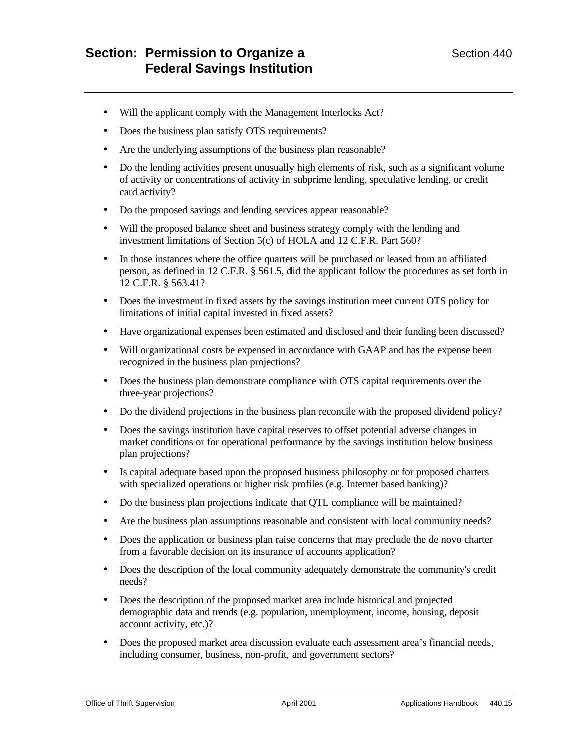- Will the applicant comply with the Management Interlocks Act?
- Does the business plan satisfy OTS requirements?
- Are the underlying assumptions of the business plan reasonable?
- Do the lending activities present unusually high elements of risk, such as a significant volume of activity or concentrations of activity in subprime lending, speculative lending, or credit card activity?
- Do the proposed savings and lending services appear reasonable?
- Will the proposed balance sheet and business strategy comply with the lending and investment limitations of Section 5(c) of HOLA and 12 C.F.R. Part 560?
- In those instances where the office quarters will be purchased or leased from an affiliated person, as defined in 12 C.F.R. § 561.5, did the applicant follow the procedures as set forth in 12 C.F.R. § 563.41?
- Does the investment in fixed assets by the savings institution meet current OTS policy for limitations of initial capital invested in fixed assets?
- Have organizational expenses been estimated and disclosed and their funding been discussed?
- Will organizational costs be expensed in accordance with GAAP and has the expense been recognized in the business plan projections?
- Does the business plan demonstrate compliance with OTS capital requirements over the three-year projections?
- Do the dividend projections in the business plan reconcile with the proposed dividend policy?
- Does the savings institution have capital reserves to offset potential adverse changes in market conditions or for operational performance by the savings institution below business plan projections?
- Is capital adequate based upon the proposed business philosophy or for proposed charters with specialized operations or higher risk profiles (e.g. Internet based banking)?
- Do the business plan projections indicate that OTL compliance will be maintained?
- Are the business plan assumptions reasonable and consistent with local community needs?
- Does the application or business plan raise concerns that may preclude the de novo charter from a favorable decision on its insurance of accounts application?
- Does the description of the local community adequately demonstrate the community's credit needs?
- Does the description of the proposed market area include historical and projected demographic data and trends (e.g. population, unemployment, income, housing, deposit account activity, etc.)?
- Does the proposed market area discussion evaluate each assessment area's financial needs, including consumer, business, non-profit, and government sectors?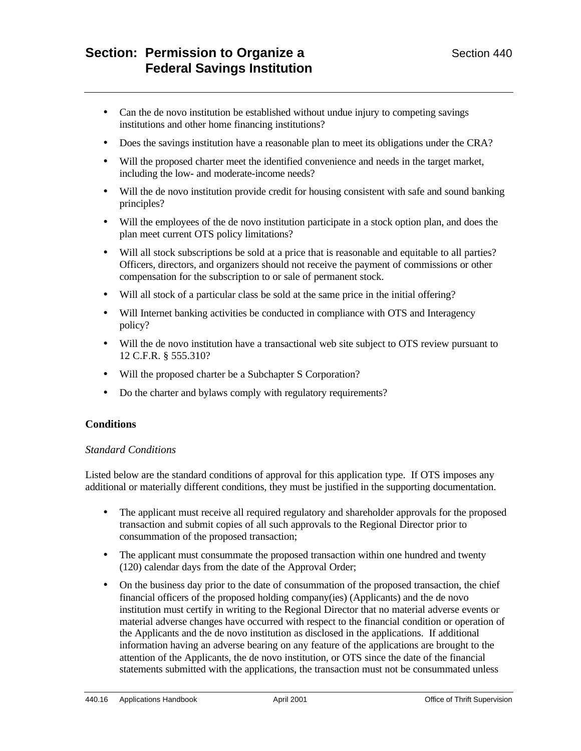- Can the de novo institution be established without undue injury to competing savings institutions and other home financing institutions?
- Does the savings institution have a reasonable plan to meet its obligations under the CRA?
- Will the proposed charter meet the identified convenience and needs in the target market, including the low- and moderate-income needs?
- Will the de novo institution provide credit for housing consistent with safe and sound banking principles?
- Will the employees of the de novo institution participate in a stock option plan, and does the plan meet current OTS policy limitations?
- Will all stock subscriptions be sold at a price that is reasonable and equitable to all parties? Officers, directors, and organizers should not receive the payment of commissions or other compensation for the subscription to or sale of permanent stock.
- Will all stock of a particular class be sold at the same price in the initial offering?
- Will Internet banking activities be conducted in compliance with OTS and Interagency policy?
- Will the de novo institution have a transactional web site subject to OTS review pursuant to 12 C.F.R. § 555.310?
- Will the proposed charter be a Subchapter S Corporation?
- Do the charter and bylaws comply with regulatory requirements?

# **Conditions**

#### *Standard Conditions*

Listed below are the standard conditions of approval for this application type. If OTS imposes any additional or materially different conditions, they must be justified in the supporting documentation.

- The applicant must receive all required regulatory and shareholder approvals for the proposed transaction and submit copies of all such approvals to the Regional Director prior to consummation of the proposed transaction;
- The applicant must consummate the proposed transaction within one hundred and twenty (120) calendar days from the date of the Approval Order;
- On the business day prior to the date of consummation of the proposed transaction, the chief financial officers of the proposed holding company(ies) (Applicants) and the de novo institution must certify in writing to the Regional Director that no material adverse events or material adverse changes have occurred with respect to the financial condition or operation of the Applicants and the de novo institution as disclosed in the applications. If additional information having an adverse bearing on any feature of the applications are brought to the attention of the Applicants, the de novo institution, or OTS since the date of the financial statements submitted with the applications, the transaction must not be consummated unless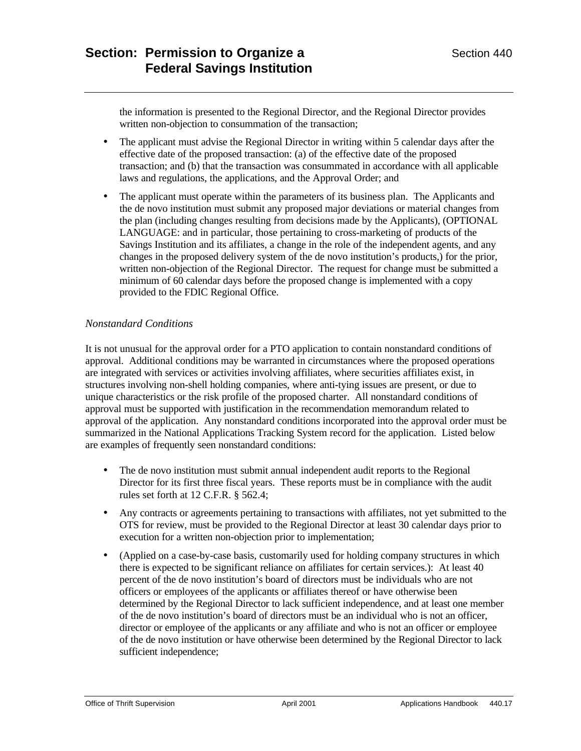the information is presented to the Regional Director, and the Regional Director provides written non-objection to consummation of the transaction;

- The applicant must advise the Regional Director in writing within 5 calendar days after the effective date of the proposed transaction: (a) of the effective date of the proposed transaction; and (b) that the transaction was consummated in accordance with all applicable laws and regulations, the applications, and the Approval Order; and
- The applicant must operate within the parameters of its business plan. The Applicants and the de novo institution must submit any proposed major deviations or material changes from the plan (including changes resulting from decisions made by the Applicants), (OPTIONAL LANGUAGE: and in particular, those pertaining to cross-marketing of products of the Savings Institution and its affiliates, a change in the role of the independent agents, and any changes in the proposed delivery system of the de novo institution's products,) for the prior, written non-objection of the Regional Director. The request for change must be submitted a minimum of 60 calendar days before the proposed change is implemented with a copy provided to the FDIC Regional Office.

# *Nonstandard Conditions*

It is not unusual for the approval order for a PTO application to contain nonstandard conditions of approval. Additional conditions may be warranted in circumstances where the proposed operations are integrated with services or activities involving affiliates, where securities affiliates exist, in structures involving non-shell holding companies, where anti-tying issues are present, or due to unique characteristics or the risk profile of the proposed charter. All nonstandard conditions of approval must be supported with justification in the recommendation memorandum related to approval of the application. Any nonstandard conditions incorporated into the approval order must be summarized in the National Applications Tracking System record for the application. Listed below are examples of frequently seen nonstandard conditions:

- The de novo institution must submit annual independent audit reports to the Regional Director for its first three fiscal years. These reports must be in compliance with the audit rules set forth at 12 C.F.R. § 562.4;
- Any contracts or agreements pertaining to transactions with affiliates, not yet submitted to the OTS for review, must be provided to the Regional Director at least 30 calendar days prior to execution for a written non-objection prior to implementation;
- (Applied on a case-by-case basis, customarily used for holding company structures in which there is expected to be significant reliance on affiliates for certain services.): At least 40 percent of the de novo institution's board of directors must be individuals who are not officers or employees of the applicants or affiliates thereof or have otherwise been determined by the Regional Director to lack sufficient independence, and at least one member of the de novo institution's board of directors must be an individual who is not an officer, director or employee of the applicants or any affiliate and who is not an officer or employee of the de novo institution or have otherwise been determined by the Regional Director to lack sufficient independence;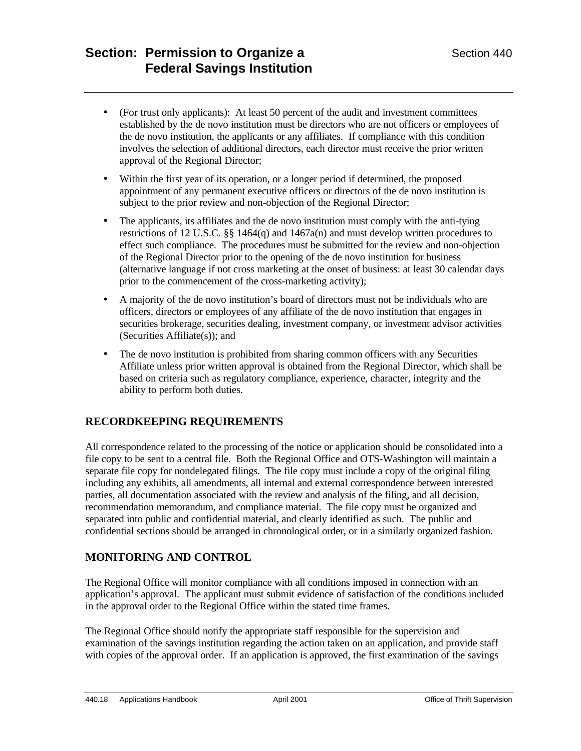- (For trust only applicants): At least 50 percent of the audit and investment committees established by the de novo institution must be directors who are not officers or employees of the de novo institution, the applicants or any affiliates. If compliance with this condition involves the selection of additional directors, each director must receive the prior written approval of the Regional Director;
- Within the first year of its operation, or a longer period if determined, the proposed appointment of any permanent executive officers or directors of the de novo institution is subject to the prior review and non-objection of the Regional Director;
- The applicants, its affiliates and the de novo institution must comply with the anti-tying restrictions of 12 U.S.C. §§ 1464(q) and 1467a(n) and must develop written procedures to effect such compliance. The procedures must be submitted for the review and non-objection of the Regional Director prior to the opening of the de novo institution for business (alternative language if not cross marketing at the onset of business: at least 30 calendar days prior to the commencement of the cross-marketing activity);
- A majority of the de novo institution's board of directors must not be individuals who are officers, directors or employees of any affiliate of the de novo institution that engages in securities brokerage, securities dealing, investment company, or investment advisor activities (Securities Affiliate(s)); and
- The de novo institution is prohibited from sharing common officers with any Securities Affiliate unless prior written approval is obtained from the Regional Director, which shall be based on criteria such as regulatory compliance, experience, character, integrity and the ability to perform both duties.

# **RECORDKEEPING REQUIREMENTS**

All correspondence related to the processing of the notice or application should be consolidated into a file copy to be sent to a central file. Both the Regional Office and OTS-Washington will maintain a separate file copy for nondelegated filings. The file copy must include a copy of the original filing including any exhibits, all amendments, all internal and external correspondence between interested parties, all documentation associated with the review and analysis of the filing, and all decision, recommendation memorandum, and compliance material. The file copy must be organized and separated into public and confidential material, and clearly identified as such. The public and confidential sections should be arranged in chronological order, or in a similarly organized fashion.

# **MONITORING AND CONTROL**

The Regional Office will monitor compliance with all conditions imposed in connection with an application's approval. The applicant must submit evidence of satisfaction of the conditions included in the approval order to the Regional Office within the stated time frames.

The Regional Office should notify the appropriate staff responsible for the supervision and examination of the savings institution regarding the action taken on an application, and provide staff with copies of the approval order. If an application is approved, the first examination of the savings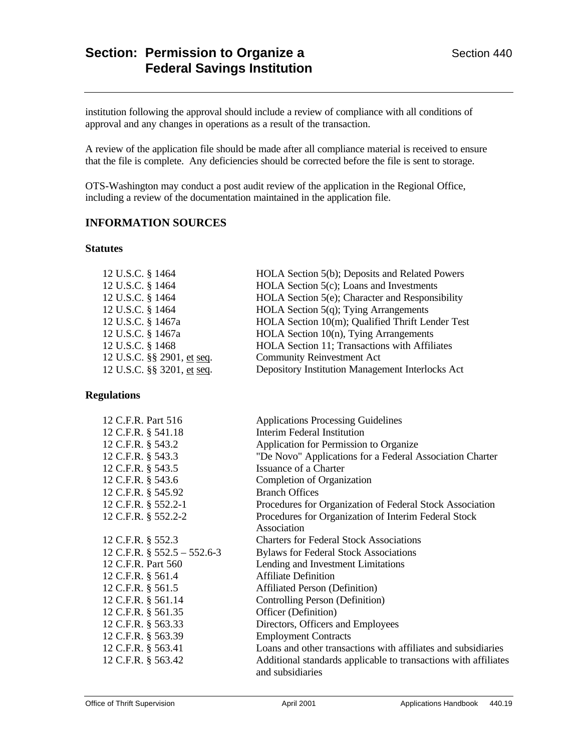institution following the approval should include a review of compliance with all conditions of approval and any changes in operations as a result of the transaction.

A review of the application file should be made after all compliance material is received to ensure that the file is complete. Any deficiencies should be corrected before the file is sent to storage.

OTS-Washington may conduct a post audit review of the application in the Regional Office, including a review of the documentation maintained in the application file.

## **INFORMATION SOURCES**

#### **Statutes**

| 12 U.S.C. § 1464           | HOLA Section 5(b); Deposits and Related Powers   |
|----------------------------|--------------------------------------------------|
| 12 U.S.C. § 1464           | HOLA Section 5(c); Loans and Investments         |
| 12 U.S.C. § 1464           | HOLA Section 5(e); Character and Responsibility  |
| 12 U.S.C. § 1464           | HOLA Section $5(q)$ ; Tying Arrangements         |
| 12 U.S.C. § 1467a          | HOLA Section 10(m); Qualified Thrift Lender Test |
| 12 U.S.C. § 1467a          | HOLA Section 10(n), Tying Arrangements           |
| 12 U.S.C. § 1468           | HOLA Section 11; Transactions with Affiliates    |
| 12 U.S.C. §§ 2901, et seq. | <b>Community Reinvestment Act</b>                |
| 12 U.S.C. §§ 3201, et seq. | Depository Institution Management Interlocks Act |
|                            |                                                  |

#### **Regulations**

| 12 C.F.R. Part 516             | <b>Applications Processing Guidelines</b>                       |
|--------------------------------|-----------------------------------------------------------------|
| 12 C.F.R. § 541.18             | <b>Interim Federal Institution</b>                              |
| 12 C.F.R. § 543.2              | Application for Permission to Organize                          |
| 12 C.F.R. § 543.3              | "De Novo" Applications for a Federal Association Charter        |
| 12 C.F.R. § 543.5              | Issuance of a Charter                                           |
| 12 C.F.R. § 543.6              | Completion of Organization                                      |
| 12 C.F.R. § 545.92             | <b>Branch Offices</b>                                           |
| 12 C.F.R. § 552.2-1            | Procedures for Organization of Federal Stock Association        |
| 12 C.F.R. § 552.2-2            | Procedures for Organization of Interim Federal Stock            |
|                                | Association                                                     |
| 12 C.F.R. § 552.3              | <b>Charters for Federal Stock Associations</b>                  |
| 12 C.F.R. $\S$ 552.5 – 552.6-3 | <b>Bylaws for Federal Stock Associations</b>                    |
| 12 C.F.R. Part 560             | Lending and Investment Limitations                              |
| 12 C.F.R. § 561.4              | <b>Affiliate Definition</b>                                     |
| 12 C.F.R. § 561.5              | <b>Affiliated Person (Definition)</b>                           |
| 12 C.F.R. § 561.14             | Controlling Person (Definition)                                 |
| 12 C.F.R. § 561.35             | Officer (Definition)                                            |
| 12 C.F.R. § 563.33             | Directors, Officers and Employees                               |
| 12 C.F.R. § 563.39             | <b>Employment Contracts</b>                                     |
| 12 C.F.R. § 563.41             | Loans and other transactions with affiliates and subsidiaries   |
| 12 C.F.R. § 563.42             | Additional standards applicable to transactions with affiliates |
|                                | and subsidiaries                                                |